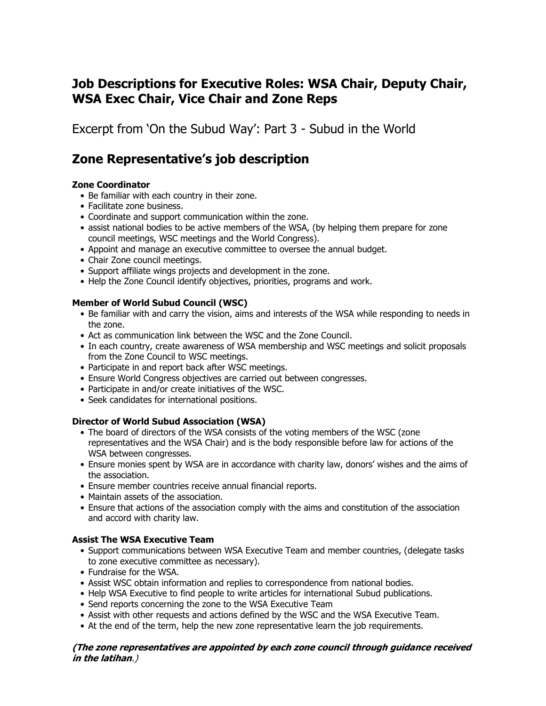# **Job Descriptions for Executive Roles: WSA Chair, Deputy Chair, WSA Exec Chair, Vice Chair and Zone Reps**

Excerpt from 'On the Subud Way': Part 3 - Subud in the World

# **Zone Representative's job description**

## **Zone Coordinator**

- Be familiar with each country in their zone.
- Facilitate zone business.
- Coordinate and support communication within the zone.
- assist national bodies to be active members of the WSA, (by helping them prepare for zone council meetings, WSC meetings and the World Congress).
- Appoint and manage an executive committee to oversee the annual budget.
- Chair Zone council meetings.
- Support affiliate wings projects and development in the zone.
- Help the Zone Council identify objectives, priorities, programs and work.

## **Member of World Subud Council (WSC)**

- Be familiar with and carry the vision, aims and interests of the WSA while responding to needs in the zone.
- Act as communication link between the WSC and the Zone Council.
- In each country, create awareness of WSA membership and WSC meetings and solicit proposals from the Zone Council to WSC meetings.
- Participate in and report back after WSC meetings.
- Ensure World Congress objectives are carried out between congresses.
- Participate in and/or create initiatives of the WSC.
- Seek candidates for international positions.

## **Director of World Subud Association (WSA)**

- The board of directors of the WSA consists of the voting members of the WSC (zone representatives and the WSA Chair) and is the body responsible before law for actions of the WSA between congresses.
- Ensure monies spent by WSA are in accordance with charity law, donors' wishes and the aims of the association.
- Ensure member countries receive annual financial reports.
- Maintain assets of the association.
- Ensure that actions of the association comply with the aims and constitution of the association and accord with charity law.

## **Assist The WSA Executive Team**

- Support communications between WSA Executive Team and member countries, (delegate tasks to zone executive committee as necessary).
- Fundraise for the WSA.
- Assist WSC obtain information and replies to correspondence from national bodies.
- Help WSA Executive to find people to write articles for international Subud publications.
- Send reports concerning the zone to the WSA Executive Team
- Assist with other requests and actions defined by the WSC and the WSA Executive Team.
- At the end of the term, help the new zone representative learn the job requirements.

#### **(The zone representatives are appointed by each zone council through guidance received in the latihan**.)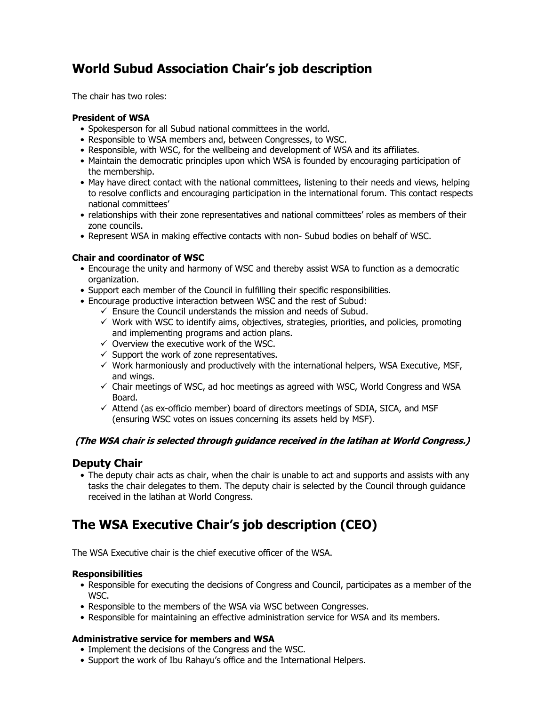# **World Subud Association Chair's job description**

The chair has two roles:

#### **President of WSA**

- Spokesperson for all Subud national committees in the world.
- Responsible to WSA members and, between Congresses, to WSC.
- Responsible, with WSC, for the wellbeing and development of WSA and its affiliates.
- Maintain the democratic principles upon which WSA is founded by encouraging participation of the membership.
- May have direct contact with the national committees, listening to their needs and views, helping to resolve conflicts and encouraging participation in the international forum. This contact respects national committees'
- relationships with their zone representatives and national committees' roles as members of their zone councils.
- Represent WSA in making effective contacts with non- Subud bodies on behalf of WSC.

#### **Chair and coordinator of WSC**

- Encourage the unity and harmony of WSC and thereby assist WSA to function as a democratic organization.
- Support each member of the Council in fulfilling their specific responsibilities.
- Encourage productive interaction between WSC and the rest of Subud:
	- $\checkmark$  Ensure the Council understands the mission and needs of Subud.
	- $\checkmark$  Work with WSC to identify aims, objectives, strategies, priorities, and policies, promoting and implementing programs and action plans.
	- $\checkmark$  Overview the executive work of the WSC.
	- $\checkmark$  Support the work of zone representatives.
	- $\checkmark$  Work harmoniously and productively with the international helpers, WSA Executive, MSF, and wings.
	- $\checkmark$  Chair meetings of WSC, ad hoc meetings as agreed with WSC, World Congress and WSA Board.
	- $\checkmark$  Attend (as ex-officio member) board of directors meetings of SDIA, SICA, and MSF (ensuring WSC votes on issues concerning its assets held by MSF).

## **(The WSA chair is selected through guidance received in the latihan at World Congress.)**

## **Deputy Chair**

• The deputy chair acts as chair, when the chair is unable to act and supports and assists with any tasks the chair delegates to them. The deputy chair is selected by the Council through guidance received in the latihan at World Congress.

# **The WSA Executive Chair's job description (CEO)**

The WSA Executive chair is the chief executive officer of the WSA.

#### **Responsibilities**

- Responsible for executing the decisions of Congress and Council, participates as a member of the WSC.
- Responsible to the members of the WSA via WSC between Congresses.
- Responsible for maintaining an effective administration service for WSA and its members.

## **Administrative service for members and WSA**

- Implement the decisions of the Congress and the WSC.
- Support the work of Ibu Rahayu's office and the International Helpers.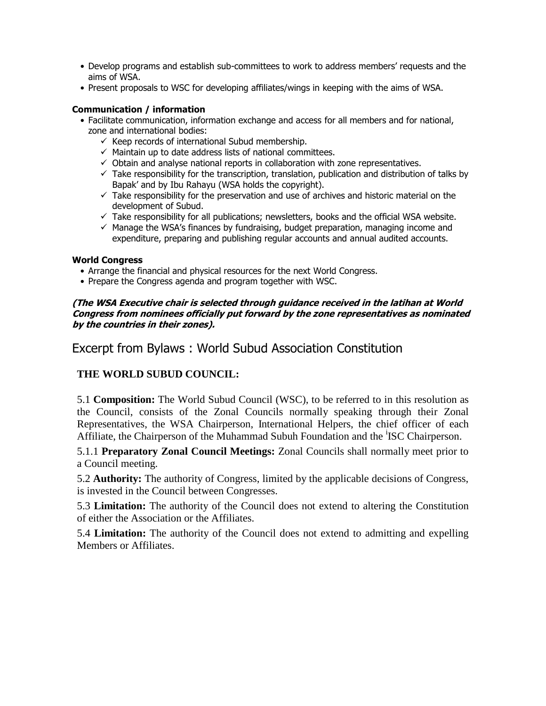- Develop programs and establish sub-committees to work to address members' requests and the aims of WSA.
- Present proposals to WSC for developing affiliates/wings in keeping with the aims of WSA.

#### **Communication / information**

- Facilitate communication, information exchange and access for all members and for national, zone and international bodies:
	- $\checkmark$  Keep records of international Subud membership.
	- $\checkmark$  Maintain up to date address lists of national committees.
	- $\checkmark$  Obtain and analyse national reports in collaboration with zone representatives.
	- $\checkmark$  Take responsibility for the transcription, translation, publication and distribution of talks by Bapak' and by Ibu Rahayu (WSA holds the copyright).
	- $\checkmark$  Take responsibility for the preservation and use of archives and historic material on the development of Subud.
	- $\checkmark$  Take responsibility for all publications; newsletters, books and the official WSA website.
	- $\checkmark$  Manage the WSA's finances by fundraising, budget preparation, managing income and expenditure, preparing and publishing regular accounts and annual audited accounts.

#### **World Congress**

- Arrange the financial and physical resources for the next World Congress.
- Prepare the Congress agenda and program together with WSC.

#### **(The WSA Executive chair is selected through guidance received in the latihan at World Congress from nominees officially put forward by the zone representatives as nominated by the countries in their zones).**

Excerpt from Bylaws : World Subud Association Constitution

## **THE WORLD SUBUD COUNCIL:**

5.1 **Composition:** The World Subud Council (WSC), to be referred to in this resolution as the Council, consists of the Zonal Councils normally speaking through their Zonal Representatives, the WSA Chairperson, International Helpers, the chief officer of each Affiliate, the Chairperson of the Muhammad Subuh Foundation and the <sup>i</sup>ISC Chairperson.

5.1.1 **Preparatory Zonal Council Meetings:** Zonal Councils shall normally meet prior to a Council meeting.

5.2 **Authority:** The authority of Congress, limited by the applicable decisions of Congress, is invested in the Council between Congresses.

5.3 **Limitation:** The authority of the Council does not extend to altering the Constitution of either the Association or the Affiliates.

5.4 **Limitation:** The authority of the Council does not extend to admitting and expelling Members or Affiliates.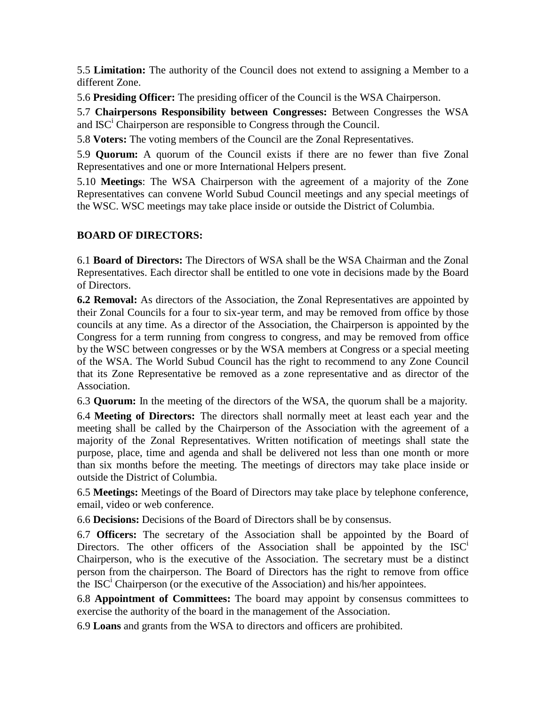5.5 **Limitation:** The authority of the Council does not extend to assigning a Member to a different Zone.

5.6 **Presiding Officer:** The presiding officer of the Council is the WSA Chairperson.

5.7 **Chairpersons Responsibility between Congresses:** Between Congresses the WSA and ISC<sup>i</sup> Chairperson are responsible to Congress through the Council.

5.8 **Voters:** The voting members of the Council are the Zonal Representatives.

5.9 **Quorum:** A quorum of the Council exists if there are no fewer than five Zonal Representatives and one or more International Helpers present.

5.10 **Meetings**: The WSA Chairperson with the agreement of a majority of the Zone Representatives can convene World Subud Council meetings and any special meetings of the WSC. WSC meetings may take place inside or outside the District of Columbia.

## **BOARD OF DIRECTORS:**

6.1 **Board of Directors:** The Directors of WSA shall be the WSA Chairman and the Zonal Representatives. Each director shall be entitled to one vote in decisions made by the Board of Directors.

**6.2 Removal:** As directors of the Association, the Zonal Representatives are appointed by their Zonal Councils for a four to six-year term, and may be removed from office by those councils at any time. As a director of the Association, the Chairperson is appointed by the Congress for a term running from congress to congress, and may be removed from office by the WSC between congresses or by the WSA members at Congress or a special meeting of the WSA. The World Subud Council has the right to recommend to any Zone Council that its Zone Representative be removed as a zone representative and as director of the Association.

6.3 **Quorum:** In the meeting of the directors of the WSA, the quorum shall be a majority.

6.4 **Meeting of Directors:** The directors shall normally meet at least each year and the meeting shall be called by the Chairperson of the Association with the agreement of a majority of the Zonal Representatives. Written notification of meetings shall state the purpose, place, time and agenda and shall be delivered not less than one month or more than six months before the meeting. The meetings of directors may take place inside or outside the District of Columbia.

6.5 **Meetings:** Meetings of the Board of Directors may take place by telephone conference, email, video or web conference.

6.6 **Decisions:** Decisions of the Board of Directors shall be by consensus.

6.7 **Officers:** The secretary of the Association shall be appointed by the Board of Directors. The other officers of the Association shall be appointed by the ISC<sup>i</sup> Chairperson, who is the executive of the Association. The secretary must be a distinct person from the chairperson. The Board of Directors has the right to remove from office the  $ISC<sup>i</sup> Chairperson (or the executive of the Association) and his/her appointed.$ 

6.8 **Appointment of Committees:** The board may appoint by consensus committees to exercise the authority of the board in the management of the Association.

6.9 **Loans** and grants from the WSA to directors and officers are prohibited.